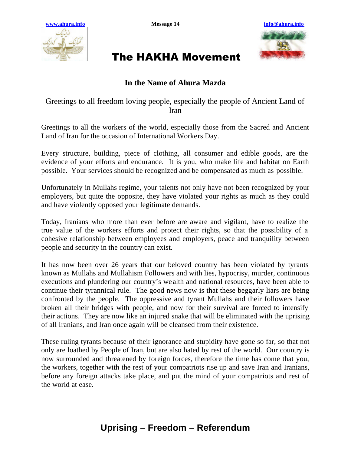



## The HAKHA Movement

## **In the Name of Ahura Mazda**

## Greetings to all freedom loving people, especially the people of Ancient Land of Iran

Greetings to all the workers of the world, especially those from the Sacred and Ancient Land of Iran for the occasion of International Workers Day.

Every structure, building, piece of clothing, all consumer and edible goods, are the evidence of your efforts and endurance. It is you, who make life and habitat on Earth possible. Your services should be recognized and be compensated as much as possible.

Unfortunately in Mullahs regime, your talents not only have not been recognized by your employers, but quite the opposite, they have violated your rights as much as they could and have violently opposed your legitimate demands.

Today, Iranians who more than ever before are aware and vigilant, have to realize the true value of the workers efforts and protect their rights, so that the possibility of a cohesive relationship between employees and employers, peace and tranquility between people and security in the country can exist.

It has now been over 26 years that our beloved country has been violated by tyrants known as Mullahs and Mullahism Followers and with lies, hypocrisy, murder, continuous executions and plundering our country's we alth and national resources, have been able to continue their tyrannical rule. The good news now is that these beggarly liars are being confronted by the people. The oppressive and tyrant Mullahs and their followers have broken all their bridges with people, and now for their survival are forced to intensify their actions. They are now like an injured snake that will be eliminated with the uprising of all Iranians, and Iran once again will be cleansed from their existence.

These ruling tyrants because of their ignorance and stupidity have gone so far, so that not only are loathed by People of Iran, but are also hated by rest of the world. Our country is now surrounded and threatened by foreign forces, therefore the time has come that you, the workers, together with the rest of your compatriots rise up and save Iran and Iranians, before any foreign attacks take place, and put the mind of your compatriots and rest of the world at ease.